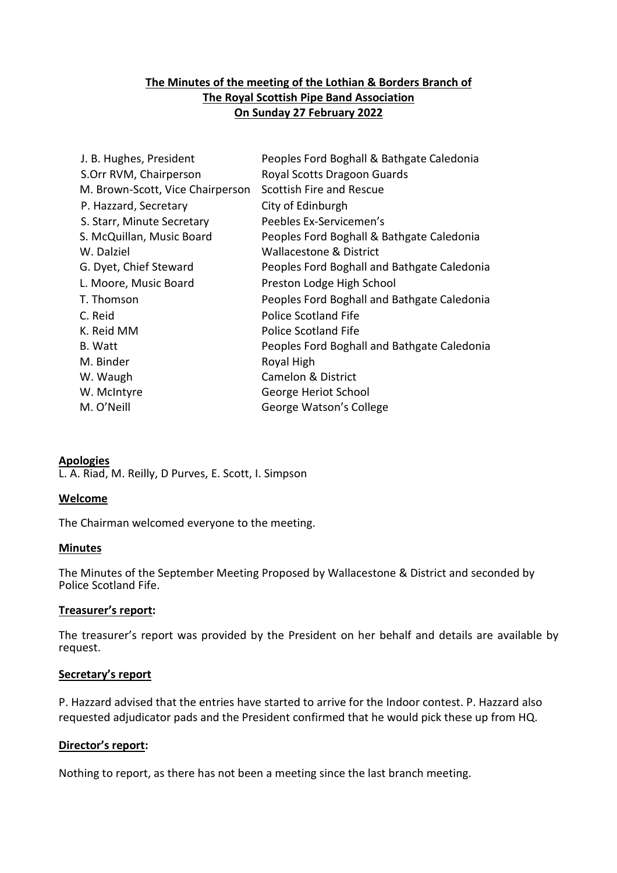# **The Minutes of the meeting of the Lothian & Borders Branch of The Royal Scottish Pipe Band Association On Sunday 27 February 2022**

| J. B. Hughes, President          | Peoples Ford Boghall & Bathgate Caledonia   |
|----------------------------------|---------------------------------------------|
| S.Orr RVM, Chairperson           | Royal Scotts Dragoon Guards                 |
| M. Brown-Scott, Vice Chairperson | Scottish Fire and Rescue                    |
| P. Hazzard, Secretary            | City of Edinburgh                           |
| S. Starr, Minute Secretary       | Peebles Ex-Servicemen's                     |
| S. McQuillan, Music Board        | Peoples Ford Boghall & Bathgate Caledonia   |
| W. Dalziel                       | <b>Wallacestone &amp; District</b>          |
| G. Dyet, Chief Steward           | Peoples Ford Boghall and Bathgate Caledonia |
| L. Moore, Music Board            | Preston Lodge High School                   |
| T. Thomson                       | Peoples Ford Boghall and Bathgate Caledonia |
| C. Reid                          | Police Scotland Fife                        |
| K. Reid MM                       | Police Scotland Fife                        |
| B. Watt                          | Peoples Ford Boghall and Bathgate Caledonia |
| M. Binder                        | Royal High                                  |
| W. Waugh                         | Camelon & District                          |
| W. McIntyre                      | George Heriot School                        |
| M. O'Neill                       | George Watson's College                     |
|                                  |                                             |

### **Apologies**

L. A. Riad, M. Reilly, D Purves, E. Scott, I. Simpson

#### **Welcome**

The Chairman welcomed everyone to the meeting.

#### **Minutes**

The Minutes of the September Meeting Proposed by Wallacestone & District and seconded by Police Scotland Fife.

#### **Treasurer's report:**

The treasurer's report was provided by the President on her behalf and details are available by request.

#### **Secretary's report**

P. Hazzard advised that the entries have started to arrive for the Indoor contest. P. Hazzard also requested adjudicator pads and the President confirmed that he would pick these up from HQ.

#### **Director's report:**

Nothing to report, as there has not been a meeting since the last branch meeting.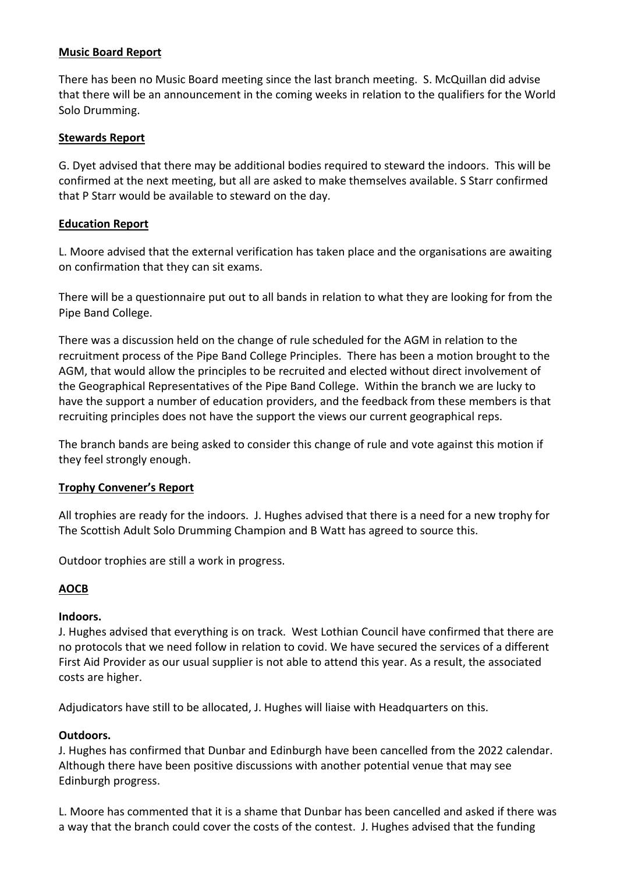## **Music Board Report**

There has been no Music Board meeting since the last branch meeting. S. McQuillan did advise that there will be an announcement in the coming weeks in relation to the qualifiers for the World Solo Drumming.

### **Stewards Report**

G. Dyet advised that there may be additional bodies required to steward the indoors. This will be confirmed at the next meeting, but all are asked to make themselves available. S Starr confirmed that P Starr would be available to steward on the day.

## **Education Report**

L. Moore advised that the external verification has taken place and the organisations are awaiting on confirmation that they can sit exams.

There will be a questionnaire put out to all bands in relation to what they are looking for from the Pipe Band College.

There was a discussion held on the change of rule scheduled for the AGM in relation to the recruitment process of the Pipe Band College Principles. There has been a motion brought to the AGM, that would allow the principles to be recruited and elected without direct involvement of the Geographical Representatives of the Pipe Band College. Within the branch we are lucky to have the support a number of education providers, and the feedback from these members is that recruiting principles does not have the support the views our current geographical reps.

The branch bands are being asked to consider this change of rule and vote against this motion if they feel strongly enough.

### **Trophy Convener's Report**

All trophies are ready for the indoors. J. Hughes advised that there is a need for a new trophy for The Scottish Adult Solo Drumming Champion and B Watt has agreed to source this.

Outdoor trophies are still a work in progress.

# **AOCB**

# **Indoors.**

J. Hughes advised that everything is on track. West Lothian Council have confirmed that there are no protocols that we need follow in relation to covid. We have secured the services of a different First Aid Provider as our usual supplier is not able to attend this year. As a result, the associated costs are higher.

Adjudicators have still to be allocated, J. Hughes will liaise with Headquarters on this.

### **Outdoors.**

J. Hughes has confirmed that Dunbar and Edinburgh have been cancelled from the 2022 calendar. Although there have been positive discussions with another potential venue that may see Edinburgh progress.

L. Moore has commented that it is a shame that Dunbar has been cancelled and asked if there was a way that the branch could cover the costs of the contest. J. Hughes advised that the funding